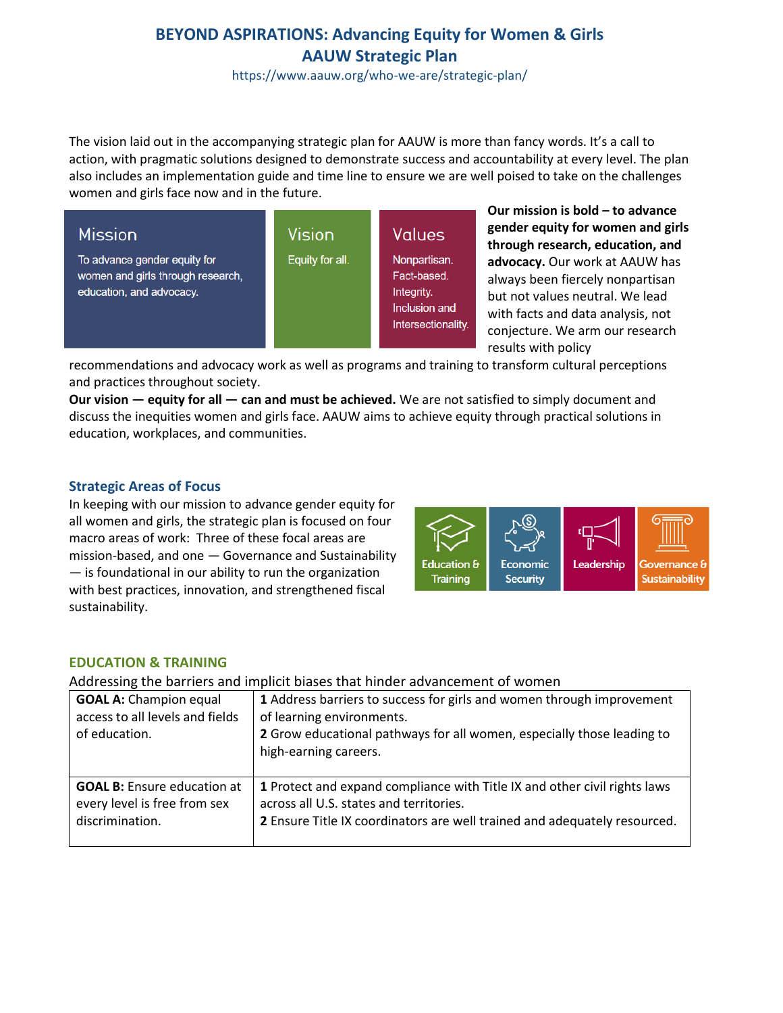# **BEYOND ASPIRATIONS: Advancing Equity for Women & Girls AAUW Strategic Plan**

https://www.aauw.org/who-we-are/strategic-plan/

The vision laid out in the accompanying strategic plan for AAUW is more than fancy words. It's a call to action, with pragmatic solutions designed to demonstrate success and accountability at every level. The plan also includes an implementation guide and time line to ensure we are well poised to take on the challenges women and girls face now and in the future.

| <b>Mission</b>                                                                                | Vision          | Values                                                                           |
|-----------------------------------------------------------------------------------------------|-----------------|----------------------------------------------------------------------------------|
| To advance gender equity for<br>women and girls through research,<br>education, and advocacy. | Equity for all. | Nonpartisan.<br>Fact-based.<br>Integrity.<br>Inclusion and<br>Intersectionality. |

**Our mission is bold – to advance gender equity for women and girls through research, education, and advocacy.** Our work at AAUW has always been fiercely nonpartisan but not values neutral. We lead with facts and data analysis, not conjecture. We arm our research results with policy

recommendations and advocacy work as well as programs and training to transform cultural perceptions and practices throughout society.

**Our vision — equity for all — can and must be achieved.** We are not satisfied to simply document and discuss the inequities women and girls face. AAUW aims to achieve equity through practical solutions in education, workplaces, and communities.

### **Strategic Areas of Focus**

In keeping with our mission to advance gender equity for all women and girls, the strategic plan is focused on four macro areas of work: Three of these focal areas are mission-based, and one — Governance and Sustainability — is foundational in our ability to run the organization with best practices, innovation, and strengthened fiscal sustainability.



### **EDUCATION & TRAINING**

Addressing the barriers and implicit biases that hinder advancement of women

| <b>GOAL A: Champion equal</b><br>access to all levels and fields<br>of education.     | 1 Address barriers to success for girls and women through improvement<br>of learning environments.<br>2 Grow educational pathways for all women, especially those leading to<br>high-earning careers. |
|---------------------------------------------------------------------------------------|-------------------------------------------------------------------------------------------------------------------------------------------------------------------------------------------------------|
| <b>GOAL B:</b> Ensure education at<br>every level is free from sex<br>discrimination. | 1 Protect and expand compliance with Title IX and other civil rights laws<br>across all U.S. states and territories.<br>2 Ensure Title IX coordinators are well trained and adequately resourced.     |